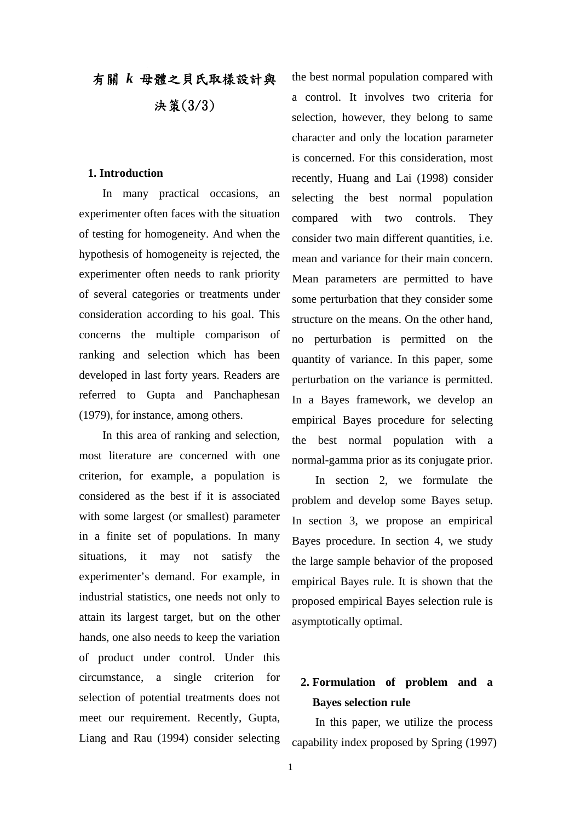# 有關 *k* 母體之貝氏取樣設計與 決策(3/3)

#### **1. Introduction**

In many practical occasions, an experimenter often faces with the situation of testing for homogeneity. And when the hypothesis of homogeneity is rejected, the experimenter often needs to rank priority of several categories or treatments under consideration according to his goal. This concerns the multiple comparison of ranking and selection which has been developed in last forty years. Readers are referred to Gupta and Panchaphesan (1979), for instance, among others.

In this area of ranking and selection, most literature are concerned with one criterion, for example, a population is considered as the best if it is associated with some largest (or smallest) parameter in a finite set of populations. In many situations, it may not satisfy the experimenter's demand. For example, in industrial statistics, one needs not only to attain its largest target, but on the other hands, one also needs to keep the variation of product under control. Under this circumstance, a single criterion for selection of potential treatments does not meet our requirement. Recently, Gupta, Liang and Rau (1994) consider selecting

the best normal population compared with a control. It involves two criteria for selection, however, they belong to same character and only the location parameter is concerned. For this consideration, most recently, Huang and Lai (1998) consider selecting the best normal population compared with two controls. They consider two main different quantities, i.e. mean and variance for their main concern. Mean parameters are permitted to have some perturbation that they consider some structure on the means. On the other hand, no perturbation is permitted on the quantity of variance. In this paper, some perturbation on the variance is permitted. In a Bayes framework, we develop an empirical Bayes procedure for selecting the best normal population with a normal-gamma prior as its conjugate prior.

In section 2, we formulate the problem and develop some Bayes setup. In section 3, we propose an empirical Bayes procedure. In section 4, we study the large sample behavior of the proposed empirical Bayes rule. It is shown that the proposed empirical Bayes selection rule is asymptotically optimal.

## **2. Formulation of problem and a Bayes selection rule**

In this paper, we utilize the process capability index proposed by Spring (1997)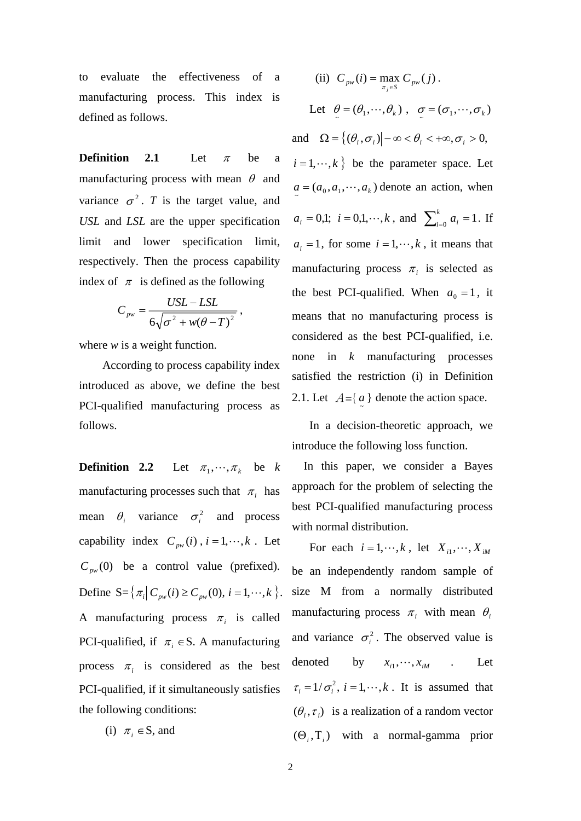to evaluate the effectiveness of a manufacturing process. This index is defined as follows.

**Definition 2.1** Let  $\pi$  be a manufacturing process with mean  $\theta$  and variance  $\sigma^2$ . *T* is the target value, and *USL* and *LSL* are the upper specification limit and lower specification limit, respectively. Then the process capability index of  $\pi$  is defined as the following

$$
C_{\scriptscriptstyle pw} = \frac{USL - LSL}{6\sqrt{\sigma^2 + w(\theta - T)^2}},
$$

where *w* is a weight function.

According to process capability index introduced as above, we define the best PCI-qualified manufacturing process as follows.

**Definition 2.2** Let  $\pi_1, \dots, \pi_k$  be *k* manufacturing processes such that  $\pi_i$  has mean  $\theta_i$  variance  $\sigma_i^2$  and process capability index  $C_{p w}(i)$ ,  $i = 1, \dots, k$ . Let  $C_{pw}(0)$  be a control value (prefixed). Define  $S = \{ \pi_i | C_{pw}(i) \ge C_{pw}(0), i = 1, \dots, k \}.$ A manufacturing process  $\pi_i$  is called PCI-qualified, if  $\pi_i \in S$ . A manufacturing process  $\pi_i$  is considered as the best PCI-qualified, if it simultaneously satisfies the following conditions:

(i) 
$$
\pi_i \in S
$$
, and

(ii) 
$$
C_{pw}(i) = \max_{\pi_j \in S} C_{pw}(j)
$$
.  
Let  $\theta = (\theta_1, \dots, \theta_k)$ ,  $\sigma = (\sigma_1, \dots, \sigma_k)$ 

and  $\Omega = \{ (\theta_i, \sigma_i) | -\infty < \theta_i < +\infty, \sigma_i > 0, \}$  $i = 1, \dots, k$  } be the parameter space. Let  $a = (a_0, a_1, \dots, a_k)$  denote an action, when  $a_i = 0,1; i = 0,1,\dots,k$ , and  $\sum_{i=0}^{k} a_i = 1$ . If  $a_i = 1$ , for some  $i = 1, \dots, k$ , it means that manufacturing process  $\pi$ <sub>i</sub> is selected as the best PCI-qualified. When  $a_0 = 1$ , it means that no manufacturing process is considered as the best PCI-qualified, i.e. none in *k* manufacturing processes satisfied the restriction (i) in Definition 2.1. Let  $A = \{a\}$  denote the action space.

In a decision-theoretic approach, we introduce the following loss function.

 In this paper, we consider a Bayes approach for the problem of selecting the best PCI-qualified manufacturing process with normal distribution.

For each  $i = 1, \dots, k$ , let  $X_{i1}, \dots, X_{iM}$ be an independently random sample of size M from a normally distributed manufacturing process  $\pi_i$  with mean  $\theta_i$ and variance  $\sigma_i^2$ . The observed value is denoted by  $x_{i1}, \dots, x_{iM}$  . Let  $\tau_i = 1/\sigma_i^2$ ,  $i = 1, \dots, k$ . It is assumed that  $(\theta_i, \tau_i)$  is a realization of a random vector  $(\Theta_i, T_i)$  with a normal-gamma prior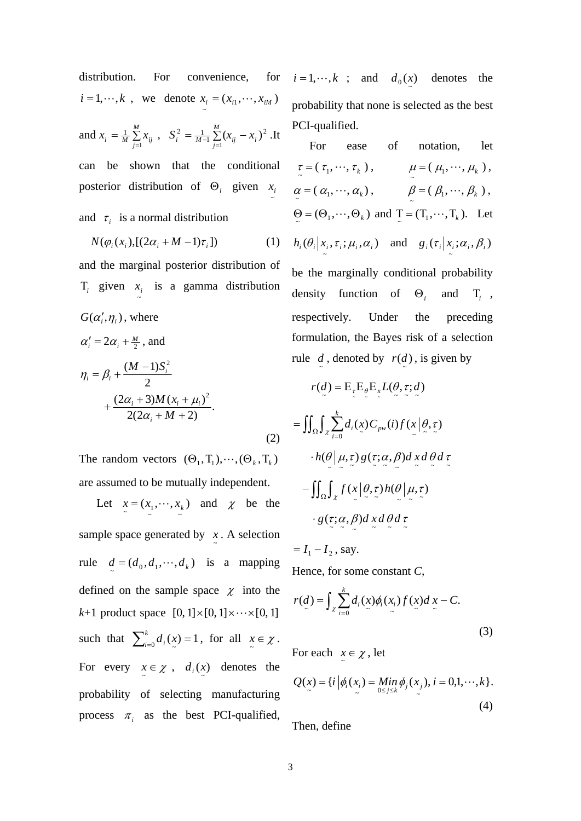distribution. For convenience,  $i = 1, \dots, k$ , we denote  $x_i = (x_{i1}, \dots, x_{iM})$ and  $x_i = \frac{1}{M} \sum_{j=1}^{M}$ *M*  $x_i = \frac{1}{M} \sum_{j=1}^{M} x_{ij}$  $\frac{1}{M}\sum_{i=1}^{M}x_{ii}$ ,  $S_i^2 = \frac{1}{M-1}\sum_{i=1}^{M}(x_{ii}-x_i)^2$  $\sum_{i}^{2} = \frac{1}{M-1} \sum_{j=1}^{M} (x_{ij} - x_{i})$  $S_i^2 = \frac{1}{M-1} \sum_{j=1}^{M} (x_{ij} - x_i)^2$ .It can be shown that the conditional posterior distribution of  $\Theta_i$  given  $x_i$ and  $\tau_i$  is a normal distribution

$$
N(\varphi_i(x_i),[(2\alpha_i + M - 1)\tau_i])\tag{1}
$$

and the marginal posterior distribution of  $T_i$  given  $x_i$  is a gamma distribution  $G(\alpha', \eta)$ , where

$$
\alpha'_{i} = 2\alpha_{i} + \frac{M}{2}, \text{ and}
$$
  
\n
$$
\eta_{i} = \beta_{i} + \frac{(M-1)S_{i}^{2}}{2} + \frac{(2\alpha_{i} + 3)M(x_{i} + \mu_{i})^{2}}{2(2\alpha_{i} + M + 2)}.
$$
\n(2)

The random vectors  $(\Theta_1, T_1), \cdots, (\Theta_k, T_k)$ are assumed to be mutually independent.

Let  $x = (x_1, \dots, x_k)$  $x = (x_1, \dots, x_k)$  and  $\chi$  be the sample space generated by  $\int_{0}^{\infty}$ . A selection rule  $d = (d_0, d_1, \dots, d_k)$  is a mapping defined on the sample space  $\chi$  into the  $k+1$  product space  $[0, 1] \times [0, 1] \times \cdots \times [0, 1]$ such that  $\sum_{i=0}^{k} d_i(x) = 1$ , for all  $x \in \mathcal{X}$ . For every  $x \in \mathcal{X}$ ,  $d_i(x)$  denotes the probability of selecting manufacturing process  $\pi_i$  as the best PCI-qualified,

for  $i = 1, \dots, k$  ; and  $d_0(x)$ denotes the probability that none is selected as the best PCI-qualified.

For ease of notation, let  
\n
$$
\tau = (\tau_1, ..., \tau_k)
$$
,  $\mu = (\mu_1, ..., \mu_k)$ ,  
\n $\alpha = (\alpha_1, ..., \alpha_k)$ ,  $\beta = (\beta_1, ..., \beta_k)$ ,  
\n $\Theta = (\Theta_1, ..., \Theta_k)$  and  $\underline{T} = (T_1, ..., T_k)$ . Let  
\n $h_i(\theta_i | x_i, \tau_i; \mu_i, \alpha_i)$  and  $g_i(\tau_i | x_i; \alpha_i, \beta_i)$   
\nbe the marginally conditional probability  
\ndensity function of  $\Theta_i$  and  $T_i$ ,  
\nrespectively. Under the preceding  
\nformulation, the Bayes risk of a selection

$$
r(d) = E_{\tau}E_{\theta}E_{x}L(\theta, \tau; d)
$$
  
\n
$$
= \iint_{\Omega} \int_{\chi} \sum_{i=0}^{k} d_{i}(x) C_{pw}(i) f(x | \theta, \tau)
$$
  
\n
$$
\cdot h(\theta | \mu, \tau) g(\tau; \alpha, \beta) d x d \theta d \tau
$$
  
\n
$$
- \iint_{\Omega} \int_{\chi} f(x | \theta, \tau) h(\theta | \mu, \tau)
$$
  
\n
$$
\cdot g(\tau; \alpha, \beta) d x d \theta d \tau
$$

rule  $d$ , denoted by  $r(d)$ , is given by

$$
= I_1 - I_2, \text{ say.}
$$

Hence, for some constant *C*,

$$
r(d) = \int_{\mathcal{X}} \sum_{i=0}^{k} d_i(x) \phi_i(x_i) f(x) dx - C.
$$
\n(3)

For each  $x \in \chi$ , let

$$
Q(x) = \{i \, \Big| \phi_i(x_i) = \lim_{0 \le j \le k} \phi_j(x_j), \, i = 0, 1, \cdots, k\}.
$$
\n(4)

Then, define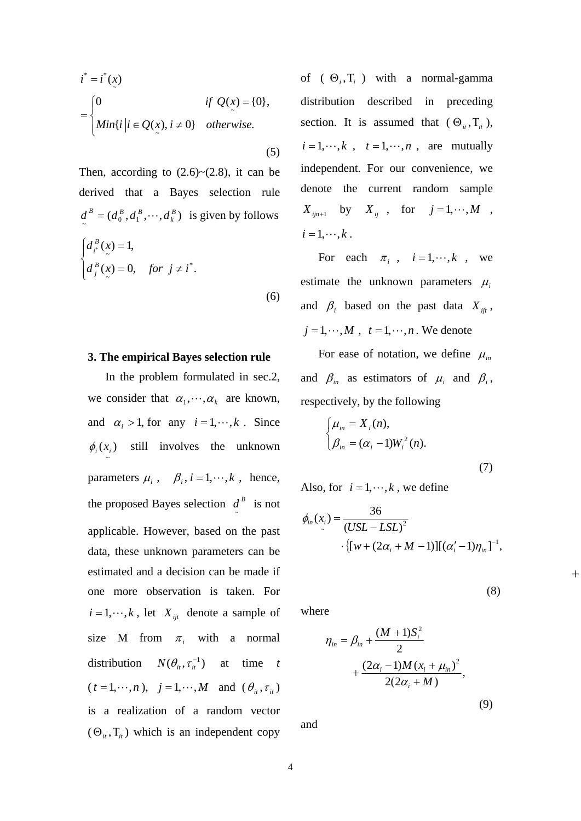$$
i^* = i^*(x)
$$
  
= 
$$
\begin{cases} 0 & \text{if } Q(x) = \{0\}, \\ \text{Min}\{i \mid i \in Q(x), i \neq 0\} & \text{otherwise.} \end{cases}
$$
 (5)

Then, according to  $(2.6)~(2.8)$ , it can be derived that a Bayes selection rule  $d^{B} = (d^{B}_{0}, d^{B}_{1}, \cdots, d^{B}_{k})$  $d^B = (d_0^B, d_1^B, \dots, d_k^B)$  is given by follows  $\overline{\mathcal{L}}$  $\overline{a}$ ⎨  $\sqrt{2}$  $= 0,$  for  $j \neq$ =  $(x) = 0$ , for  $j \neq i^*$ .  $(x) = 1,$ \* ~  $\sum_{n=1}^{\infty}$  $d_i^B(x) = 0$ , for  $j \neq i$  $d^B_{x^*}(x)$ *B j B i* (6)

#### **3. The empirical Bayes selection rule**

 In the problem formulated in sec.2, we consider that  $\alpha_1, \dots, \alpha_k$  are known, and  $\alpha_i > 1$ , for any  $i = 1, \dots, k$ . Since  $\phi_i(x_i)$  still involves the unknown ~ parameters  $\mu_i$ ,  $\beta_i$ ,  $i = 1, \dots, k$ , hence, the proposed Bayes selection  $d^B$  is not applicable. However, based on the past data, these unknown parameters can be estimated and a decision can be made if one more observation is taken. For  $i = 1, \dots, k$ , let *X<sub>ijt</sub>* denote a sample of size M from  $\pi$ , with a normal distribution  $N(\theta_i, \tau_i^{-1})$  at time *t*  $(t = 1, \dots, n), j = 1, \dots, M$  and  $(\theta_{it}, \tau_{it})$ is a realization of a random vector  $(\Theta_{i}$ ,  $T_{i}$ ) which is an independent copy

of  $(\Theta_i, T_i)$  with a normal-gamma distribution described in preceding section. It is assumed that  $(\Theta_{it}, T_{it})$ ,  $i = 1, \dots, k$ ,  $t = 1, \dots, n$ , are mutually independent. For our convenience, we denote the current random sample  $X_{ijn+1}$  by  $X_{ij}$ , for  $j = 1, \dots, M$ ,  $i = 1, \cdots, k$ .

For each  $\pi_i$ ,  $i = 1, \dots, k$ , we estimate the unknown parameters  $\mu_i$ and  $\beta_i$  based on the past data  $X_{ijt}$ ,  $j = 1, \dots, M$ ,  $t = 1, \dots, n$ . We denote

For ease of notation, we define  $\mu_{in}$ and  $\beta_{in}$  as estimators of  $\mu_i$  and  $\beta_i$ , respectively, by the following

$$
\begin{cases} \mu_{in} = X_i(n), \\ \beta_{in} = (\alpha_i - 1)W_i^2(n). \end{cases}
$$
 (7)

Also, for  $i = 1, \dots, k$ , we define

$$
\phi_{in}(x_i) = \frac{36}{(USL - LSL)^2} \cdot \{ [w + (2\alpha_i + M - 1)][(\alpha'_i - 1)\eta_{in}]^{-1},
$$

where

$$
\eta_{in} = \beta_{in} + \frac{(M+1)S_i^2}{2} + \frac{(2\alpha_i - 1)M(x_i + \mu_{in})^2}{2(2\alpha_i + M)},
$$

(9)

(8)

+

and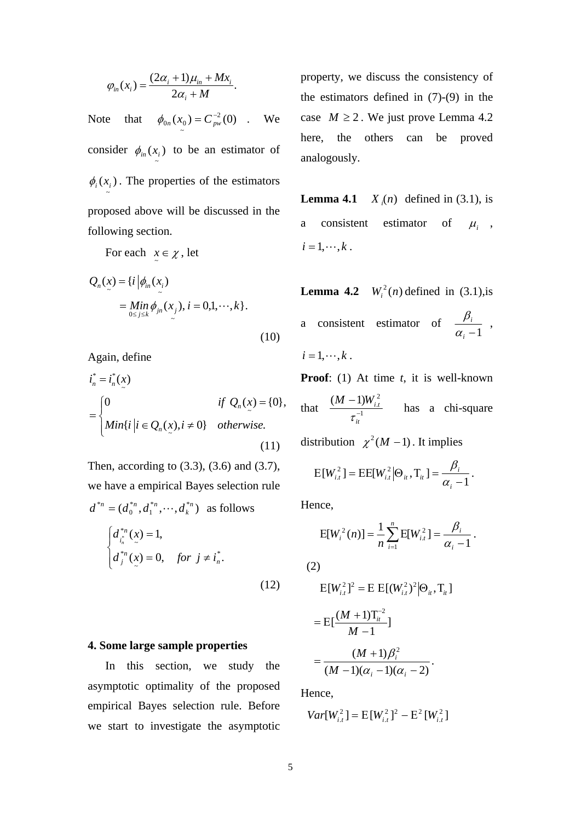$$
\varphi_{in}(x_i) = \frac{(2\alpha_i + 1)\mu_{in} + Mx_i}{2\alpha_i + M}.
$$

Note that  $\phi_{0n}(x_0) = C_{n w}^{-2}(0)$  $\int_0^{0}$   $\frac{(\lambda)}{z}$  $\phi_{0n}(x_0) = C_{pw}^{-2}(0)$  . We consider  $\phi_{in}(x_i)$  $\phi_{in}(x_i)$  to be an estimator of  $\phi_i(x_i)$ . The properties of the estimators ~ proposed above will be discussed in the following section.

For each  $x \in \chi$ , let

$$
Q_n(x) = \{i \mid \phi_{in}(x_i)
$$
  
= 
$$
\underset{0 \le j \le k}{\text{Min }} \phi_{jn}(x_j), i = 0,1,\dots,k \}. \tag{10}
$$

Again, define

$$
\begin{aligned}\ni_n^* &= i_n^*(x) \\
&= \begin{cases}\n0 & \text{if } Q_n(x) = \{0\}, \\
Min\{i \mid i \in Q_n(x), i \neq 0\} & otherwise.\n\end{cases} \\
(11)\n\end{aligned}
$$

Then, according to (3.3), (3.6) and (3.7), we have a empirical Bayes selection rule  $(d_0^{*_n}, d_1^{*_n}, \cdots, d_k^{*_n})$ \*  $\boldsymbol{0}$ \*n  $(A^*n, J^*n, J^*n, J^*n)$  $d^{*n} = (d_0^{*n}, d_1^{*n}, \dots, d_k^{*n})$  as follows

$$
\begin{cases}\n d_{i_n}^{*n}(x) = 1, \\
 d_j^{*n}(x) = 0, \quad \text{for } j \neq i_n^*.\n\end{cases}
$$
\n(12)

### **4. Some large sample properties**

 In this section, we study the asymptotic optimality of the proposed empirical Bayes selection rule. Before we start to investigate the asymptotic property, we discuss the consistency of the estimators defined in (7)-(9) in the case  $M \ge 2$ . We just prove Lemma 4.2 here, the others can be proved analogously.

**Lemma 4.1** ) *X <sup>i</sup>*  $X_n(n)$  defined in (3.1), is a consistent estimator of  $\mu_i$ ,  $i = 1, \cdots, k$ .

**Lemma 4.2**  $W_i^2(n)$  defined in (3.1), is a consistent estimator of  $\frac{\mu_i}{\alpha_i - 1}$  $\frac{\beta_i}{\alpha_{\cdot}-1}$ ,  $i = 1, \cdots, k$ .

**Proof**: (1) At time *t*, it is well-known that  $\frac{(\mathbf{m} - \mathbf{1})}{\mathbf{m}}$  $(M - 1)W_{i,t}^2$ − − *it*  $M - 1)W_{i,i}^2$  $\frac{1}{\tau_{c}^{-1}}$  has a chi-square

distribution  $\chi^2 (M - 1)$ . It implies

$$
E[W_{i,t}^2] = EE[W_{i,t}^2 | \Theta_{it}, T_{it}] = \frac{\beta_i}{\alpha_i - 1}.
$$

Hence,

$$
E[W_i^2(n)] = \frac{1}{n} \sum_{i=1}^n E[W_{i,t}^2] = \frac{\beta_i}{\alpha_i - 1}.
$$

(2)

$$
E[W_{i,t}^{2}]^{2} = E E[(W_{i,t}^{2})^{2} | \Theta_{i,t}, T_{i,t}]
$$
  
= 
$$
E[\frac{(M+1)T_{i}^{-2}}{M-1}]
$$
  
= 
$$
\frac{(M+1)\beta_{i}^{2}}{(M-1)(\alpha_{i}-1)(\alpha_{i}-2)}.
$$

Hence,

$$
Var[W_{i,t}^2] = E[W_{i,t}^2]^2 - E^2[W_{i,t}^2]
$$